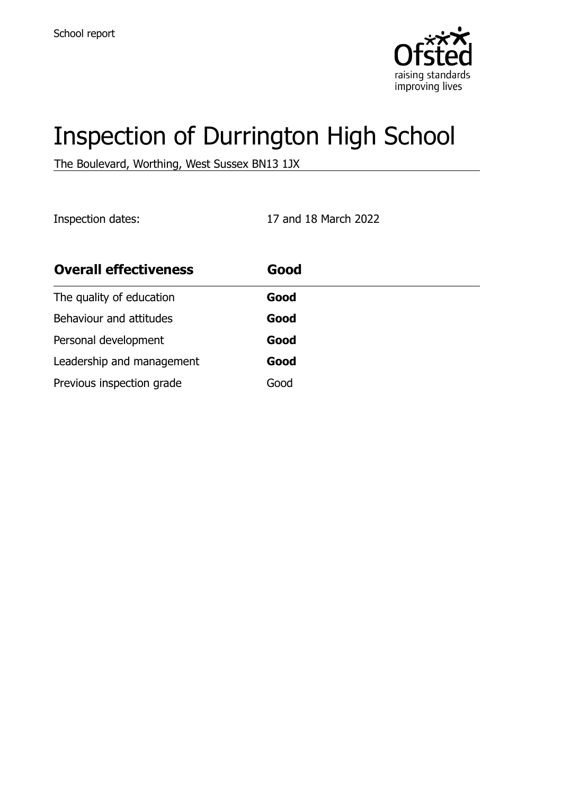

# Inspection of Durrington High School

The Boulevard, Worthing, West Sussex BN13 1JX

Inspection dates: 17 and 18 March 2022

| <b>Overall effectiveness</b> | Good |
|------------------------------|------|
| The quality of education     | Good |
| Behaviour and attitudes      | Good |
| Personal development         | Good |
| Leadership and management    | Good |
| Previous inspection grade    | Good |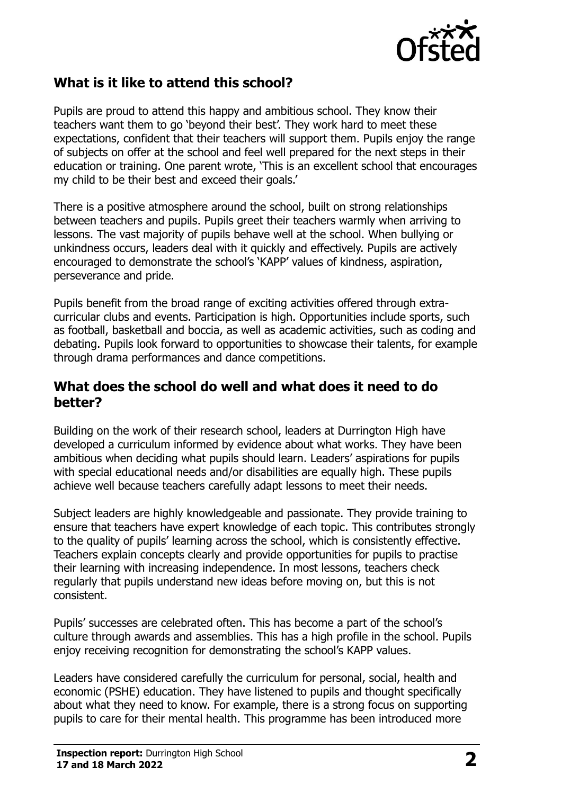

#### **What is it like to attend this school?**

Pupils are proud to attend this happy and ambitious school. They know their teachers want them to go 'beyond their best'. They work hard to meet these expectations, confident that their teachers will support them. Pupils enjoy the range of subjects on offer at the school and feel well prepared for the next steps in their education or training. One parent wrote, 'This is an excellent school that encourages my child to be their best and exceed their goals.'

There is a positive atmosphere around the school, built on strong relationships between teachers and pupils. Pupils greet their teachers warmly when arriving to lessons. The vast majority of pupils behave well at the school. When bullying or unkindness occurs, leaders deal with it quickly and effectively. Pupils are actively encouraged to demonstrate the school's 'KAPP' values of kindness, aspiration, perseverance and pride.

Pupils benefit from the broad range of exciting activities offered through extracurricular clubs and events. Participation is high. Opportunities include sports, such as football, basketball and boccia, as well as academic activities, such as coding and debating. Pupils look forward to opportunities to showcase their talents, for example through drama performances and dance competitions.

#### **What does the school do well and what does it need to do better?**

Building on the work of their research school, leaders at Durrington High have developed a curriculum informed by evidence about what works. They have been ambitious when deciding what pupils should learn. Leaders' aspirations for pupils with special educational needs and/or disabilities are equally high. These pupils achieve well because teachers carefully adapt lessons to meet their needs.

Subject leaders are highly knowledgeable and passionate. They provide training to ensure that teachers have expert knowledge of each topic. This contributes strongly to the quality of pupils' learning across the school, which is consistently effective. Teachers explain concepts clearly and provide opportunities for pupils to practise their learning with increasing independence. In most lessons, teachers check regularly that pupils understand new ideas before moving on, but this is not consistent.

Pupils' successes are celebrated often. This has become a part of the school's culture through awards and assemblies. This has a high profile in the school. Pupils enjoy receiving recognition for demonstrating the school's KAPP values.

Leaders have considered carefully the curriculum for personal, social, health and economic (PSHE) education. They have listened to pupils and thought specifically about what they need to know. For example, there is a strong focus on supporting pupils to care for their mental health. This programme has been introduced more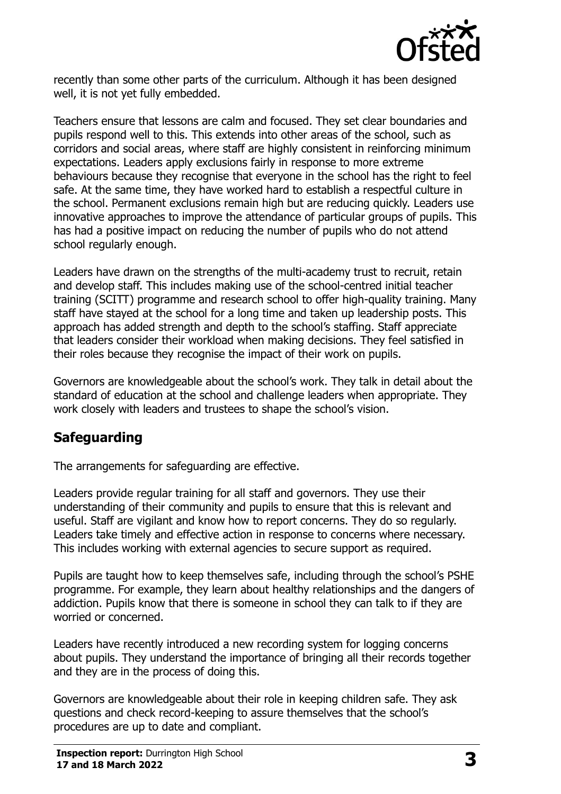

recently than some other parts of the curriculum. Although it has been designed well, it is not yet fully embedded.

Teachers ensure that lessons are calm and focused. They set clear boundaries and pupils respond well to this. This extends into other areas of the school, such as corridors and social areas, where staff are highly consistent in reinforcing minimum expectations. Leaders apply exclusions fairly in response to more extreme behaviours because they recognise that everyone in the school has the right to feel safe. At the same time, they have worked hard to establish a respectful culture in the school. Permanent exclusions remain high but are reducing quickly. Leaders use innovative approaches to improve the attendance of particular groups of pupils. This has had a positive impact on reducing the number of pupils who do not attend school regularly enough.

Leaders have drawn on the strengths of the multi-academy trust to recruit, retain and develop staff. This includes making use of the school-centred initial teacher training (SCITT) programme and research school to offer high-quality training. Many staff have stayed at the school for a long time and taken up leadership posts. This approach has added strength and depth to the school's staffing. Staff appreciate that leaders consider their workload when making decisions. They feel satisfied in their roles because they recognise the impact of their work on pupils.

Governors are knowledgeable about the school's work. They talk in detail about the standard of education at the school and challenge leaders when appropriate. They work closely with leaders and trustees to shape the school's vision.

### **Safeguarding**

The arrangements for safeguarding are effective.

Leaders provide regular training for all staff and governors. They use their understanding of their community and pupils to ensure that this is relevant and useful. Staff are vigilant and know how to report concerns. They do so regularly. Leaders take timely and effective action in response to concerns where necessary. This includes working with external agencies to secure support as required.

Pupils are taught how to keep themselves safe, including through the school's PSHE programme. For example, they learn about healthy relationships and the dangers of addiction. Pupils know that there is someone in school they can talk to if they are worried or concerned.

Leaders have recently introduced a new recording system for logging concerns about pupils. They understand the importance of bringing all their records together and they are in the process of doing this.

Governors are knowledgeable about their role in keeping children safe. They ask questions and check record-keeping to assure themselves that the school's procedures are up to date and compliant.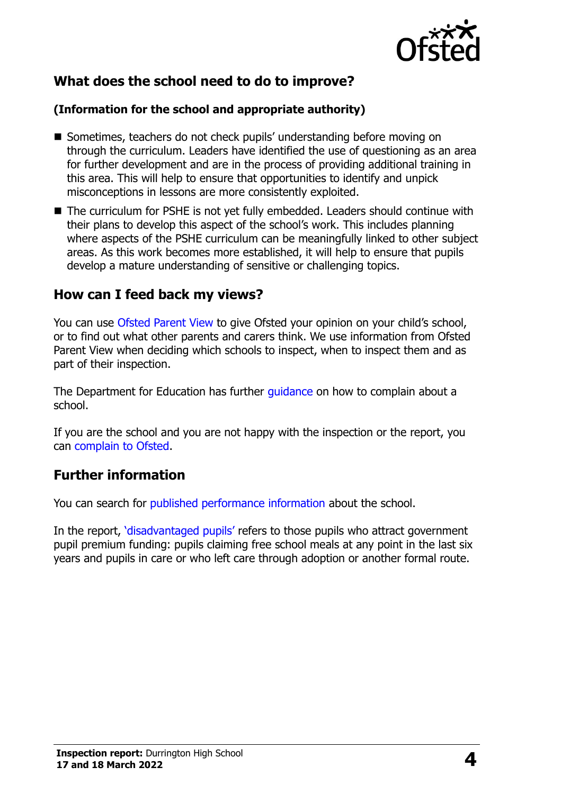

## **What does the school need to do to improve?**

#### **(Information for the school and appropriate authority)**

- Sometimes, teachers do not check pupils' understanding before moving on through the curriculum. Leaders have identified the use of questioning as an area for further development and are in the process of providing additional training in this area. This will help to ensure that opportunities to identify and unpick misconceptions in lessons are more consistently exploited.
- The curriculum for PSHE is not yet fully embedded. Leaders should continue with their plans to develop this aspect of the school's work. This includes planning where aspects of the PSHE curriculum can be meaningfully linked to other subject areas. As this work becomes more established, it will help to ensure that pupils develop a mature understanding of sensitive or challenging topics.

#### **How can I feed back my views?**

You can use [Ofsted Parent View](http://parentview.ofsted.gov.uk/) to give Ofsted your opinion on your child's school, or to find out what other parents and carers think. We use information from Ofsted Parent View when deciding which schools to inspect, when to inspect them and as part of their inspection.

The Department for Education has further quidance on how to complain about a school.

If you are the school and you are not happy with the inspection or the report, you can [complain to Ofsted.](http://www.gov.uk/complain-ofsted-report)

### **Further information**

You can search for [published performance information](http://www.compare-school-performance.service.gov.uk/) about the school.

In the report, '[disadvantaged pupils](http://www.gov.uk/guidance/pupil-premium-information-for-schools-and-alternative-provision-settings)' refers to those pupils who attract government pupil premium funding: pupils claiming free school meals at any point in the last six years and pupils in care or who left care through adoption or another formal route.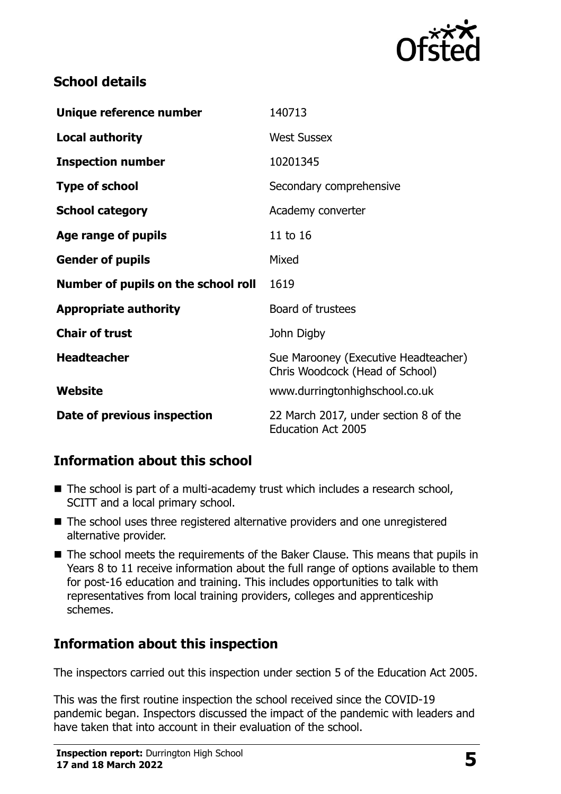

### **School details**

| Unique reference number             | 140713                                                                  |
|-------------------------------------|-------------------------------------------------------------------------|
| <b>Local authority</b>              | <b>West Sussex</b>                                                      |
| <b>Inspection number</b>            | 10201345                                                                |
| <b>Type of school</b>               | Secondary comprehensive                                                 |
| <b>School category</b>              | Academy converter                                                       |
| Age range of pupils                 | 11 to 16                                                                |
| <b>Gender of pupils</b>             | Mixed                                                                   |
|                                     |                                                                         |
| Number of pupils on the school roll | 1619                                                                    |
| <b>Appropriate authority</b>        | Board of trustees                                                       |
| <b>Chair of trust</b>               | John Digby                                                              |
| <b>Headteacher</b>                  | Sue Marooney (Executive Headteacher)<br>Chris Woodcock (Head of School) |
| Website                             | www.durringtonhighschool.co.uk                                          |

### **Information about this school**

- The school is part of a multi-academy trust which includes a research school, SCITT and a local primary school.
- The school uses three registered alternative providers and one unregistered alternative provider.
- The school meets the requirements of the Baker Clause. This means that pupils in Years 8 to 11 receive information about the full range of options available to them for post-16 education and training. This includes opportunities to talk with representatives from local training providers, colleges and apprenticeship schemes.

## **Information about this inspection**

The inspectors carried out this inspection under section 5 of the Education Act 2005.

This was the first routine inspection the school received since the COVID-19 pandemic began. Inspectors discussed the impact of the pandemic with leaders and have taken that into account in their evaluation of the school.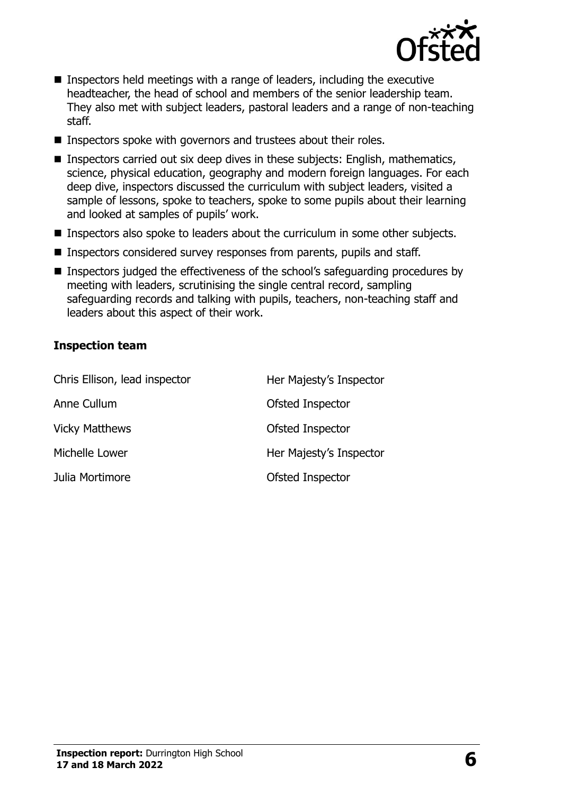

- **Inspectors held meetings with a range of leaders, including the executive** headteacher, the head of school and members of the senior leadership team. They also met with subject leaders, pastoral leaders and a range of non-teaching staff.
- Inspectors spoke with governors and trustees about their roles.
- **Inspectors carried out six deep dives in these subjects: English, mathematics,** science, physical education, geography and modern foreign languages. For each deep dive, inspectors discussed the curriculum with subject leaders, visited a sample of lessons, spoke to teachers, spoke to some pupils about their learning and looked at samples of pupils' work.
- **Inspectors also spoke to leaders about the curriculum in some other subjects.**
- Inspectors considered survey responses from parents, pupils and staff.
- Inspectors judged the effectiveness of the school's safeguarding procedures by meeting with leaders, scrutinising the single central record, sampling safeguarding records and talking with pupils, teachers, non-teaching staff and leaders about this aspect of their work.

#### **Inspection team**

| Chris Ellison, lead inspector | Her Majesty's Inspector |
|-------------------------------|-------------------------|
| Anne Cullum                   | Ofsted Inspector        |
| <b>Vicky Matthews</b>         | Ofsted Inspector        |
| Michelle Lower                | Her Majesty's Inspector |
| Julia Mortimore               | Ofsted Inspector        |